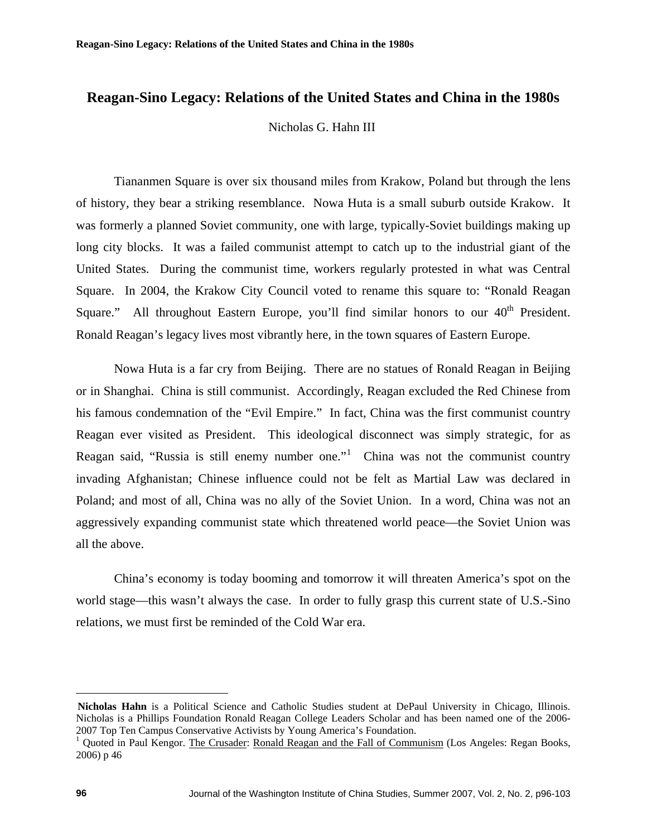Nicholas G. Hahn III

 Tiananmen Square is over six thousand miles from Krakow, Poland but through the lens of history, they bear a striking resemblance. Nowa Huta is a small suburb outside Krakow. It was formerly a planned Soviet community, one with large, typically-Soviet buildings making up long city blocks. It was a failed communist attempt to catch up to the industrial giant of the United States. During the communist time, workers regularly protested in what was Central Square. In 2004, the Krakow City Council voted to rename this square to: "Ronald Reagan Square." All throughout Eastern Europe, you'll find similar honors to our  $40<sup>th</sup>$  President. Ronald Reagan's legacy lives most vibrantly here, in the town squares of Eastern Europe.

 Nowa Huta is a far cry from Beijing. There are no statues of Ronald Reagan in Beijing or in Shanghai. China is still communist. Accordingly, Reagan excluded the Red Chinese from his famous condemnation of the "Evil Empire." In fact, China was the first communist country Reagan ever visited as President. This ideological disconnect was simply strategic, for as Reagan said, "Russia is still enemy number one."  $\Gamma$  China was not the communist country invading Afghanistan; Chinese influence could not be felt as Martial Law was declared in Poland; and most of all, China was no ally of the Soviet Union. In a word, China was not an aggressively expanding communist state which threatened world peace––the Soviet Union was all the above.

China's economy is today booming and tomorrow it will threaten America's spot on the world stage––this wasn't always the case. In order to fully grasp this current state of U.S.-Sino relations, we must first be reminded of the Cold War era.

1

**Nicholas Hahn** is a Political Science and Catholic Studies student at DePaul University in Chicago, Illinois. Nicholas is a Phillips Foundation Ronald Reagan College Leaders Scholar and has been named one of the 2006- 2007 Top Ten Campus Conservative Activists by Young America's Foundation.

<span id="page-0-0"></span><sup>&</sup>lt;sup>1</sup> Quoted in Paul Kengor. The Crusader: Ronald Reagan and the Fall of Communism (Los Angeles: Regan Books, 2006) p 46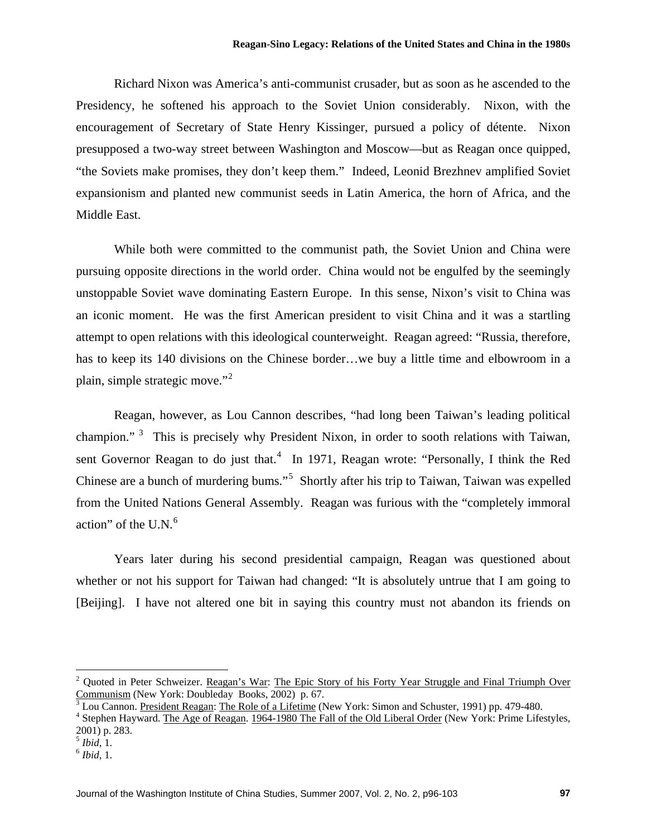Richard Nixon was America's anti-communist crusader, but as soon as he ascended to the Presidency, he softened his approach to the Soviet Union considerably. Nixon, with the encouragement of Secretary of State Henry Kissinger, pursued a policy of détente. Nixon presupposed a two-way street between Washington and Moscow––but as Reagan once quipped, "the Soviets make promises, they don't keep them." Indeed, Leonid Brezhnev amplified Soviet expansionism and planted new communist seeds in Latin America, the horn of Africa, and the Middle East.

 While both were committed to the communist path, the Soviet Union and China were pursuing opposite directions in the world order. China would not be engulfed by the seemingly unstoppable Soviet wave dominating Eastern Europe. In this sense, Nixon's visit to China was an iconic moment. He was the first American president to visit China and it was a startling attempt to open relations with this ideological counterweight. Reagan agreed: "Russia, therefore, has to keep its 140 divisions on the Chinese border...we buy a little time and elbowroom in a plain, simple strategic move."[2](#page-1-0)

 Reagan, however, as Lou Cannon describes, "had long been Taiwan's leading political champion."<sup>[3](#page-1-1)</sup> This is precisely why President Nixon, in order to sooth relations with Taiwan, sent Governor Reagan to do just that.<sup>[4](#page-1-2)</sup> In 1971, Reagan wrote: "Personally, I think the Red Chinese are a bunch of murdering bums."<sup>[5](#page-1-3)</sup> Shortly after his trip to Taiwan, Taiwan was expelled from the United Nations General Assembly. Reagan was furious with the "completely immoral action" of the  $U.N.<sup>6</sup>$  $U.N.<sup>6</sup>$  $U.N.<sup>6</sup>$ 

Years later during his second presidential campaign, Reagan was questioned about whether or not his support for Taiwan had changed: "It is absolutely untrue that I am going to [Beijing]. I have not altered one bit in saying this country must not abandon its friends on

 $\overline{a}$ 

<span id="page-1-0"></span><sup>&</sup>lt;sup>2</sup> Quoted in Peter Schweizer. Reagan's War: The Epic Story of his Forty Year Struggle and Final Triumph Over Communism (New York: Doubleday Books, 2002) p. 67.

<span id="page-1-1"></span> $3$  Lou Cannon. President Reagan: The Role of a Lifetime (New York: Simon and Schuster, 1991) pp. 479-480.

<span id="page-1-2"></span><sup>&</sup>lt;sup>4</sup> Stephen Hayward. The Age of Reagan. 1964-1980 The Fall of the Old Liberal Order (New York: Prime Lifestyles, 2001) p. 283.

<span id="page-1-3"></span><sup>5</sup> *Ibid*, 1. 6 *Ibid*, 1.

<span id="page-1-4"></span>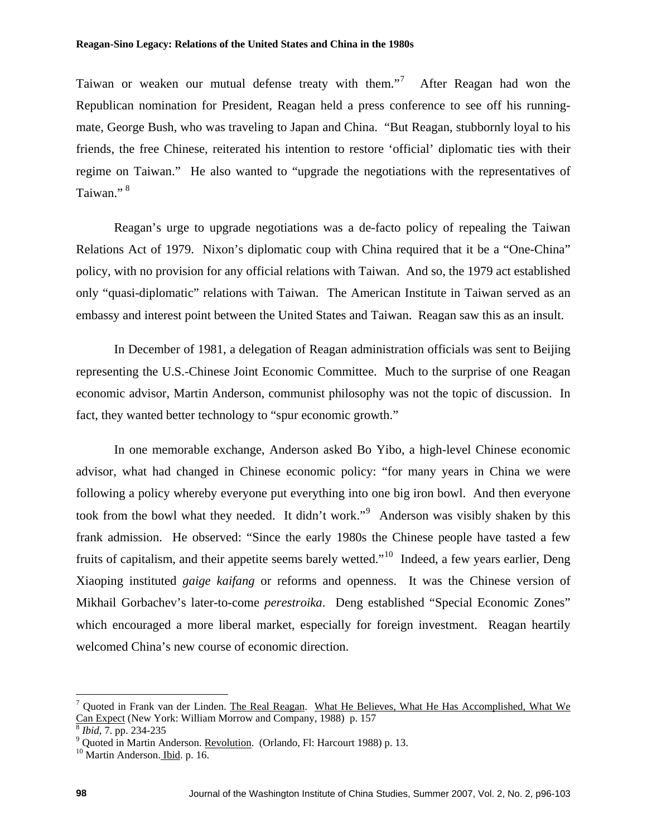Taiwan or weaken our mutual defense treaty with them."<sup>[7](#page-2-0)</sup> After Reagan had won the Republican nomination for President, Reagan held a press conference to see off his runningmate, George Bush, who was traveling to Japan and China. "But Reagan, stubbornly loyal to his friends, the free Chinese, reiterated his intention to restore 'official' diplomatic ties with their regime on Taiwan." He also wanted to "upgrade the negotiations with the representatives of Taiwan."<sup>8</sup>

embassy and interest point between the United States and Taiwan. Reagan saw this as an insult. Reagan's urge to upgrade negotiations was a de-facto policy of repealing the Taiwan Relations Act of 1979. Nixon's diplomatic coup with China required that it be a "One-China" policy, with no provision for any official relations with Taiwan. And so, the 1979 act established only "quasi-diplomatic" relations with Taiwan. The American Institute in Taiwan served as an

economic advisor, Martin Anderson, communist philosophy was not the topic of discussion. In fact, they wanted better technology to "spur economic growth." In December of 1981, a delegation of Reagan administration officials was sent to Beijing representing the U.S.-Chinese Joint Economic Committee. Much to the surprise of one Reagan

which encouraged a more liberal market, especially for foreign investment. Reagan heartily welcomed China's new course of economic direction. In one memorable exchange, Anderson asked Bo Yibo, a high-level Chinese economic advisor, what had changed in Chinese economic policy: "for many years in China we were following a policy whereby everyone put everything into one big iron bowl. And then everyone took from the bowl what they needed. It didn't work."<sup>[9](#page-2-1)</sup> Anderson was visibly shaken by this frank admission. He observed: "Since the early 1980s the Chinese people have tasted a few fruits of capitalism, and their appetite seems barely wetted."[10](#page-2-2) Indeed, a few years earlier, Deng Xiaoping instituted *gaige kaifang* or reforms and openness. It was the Chinese version of Mikhail Gorbachev's later-to-come *perestroika*. Deng established "Special Economic Zones"

1

<span id="page-2-0"></span><sup>&</sup>lt;sup>7</sup> Quoted in Frank van der Linden. The Real Reagan. What He Believes, What He Has Accomplished, What We Can Expect (New York: William Morrow and Company, 1988) p. 157 *Bibid*, 7. pp. 234-235

<span id="page-2-1"></span><sup>&</sup>lt;sup>9</sup> Quoted in Martin Anderson. <u>Revolution</u>. (Orlando, Fl: Harcourt 1988) p. 13. <sup>10</sup> Martin Anderson. Ibid. p. 16.

<span id="page-2-2"></span>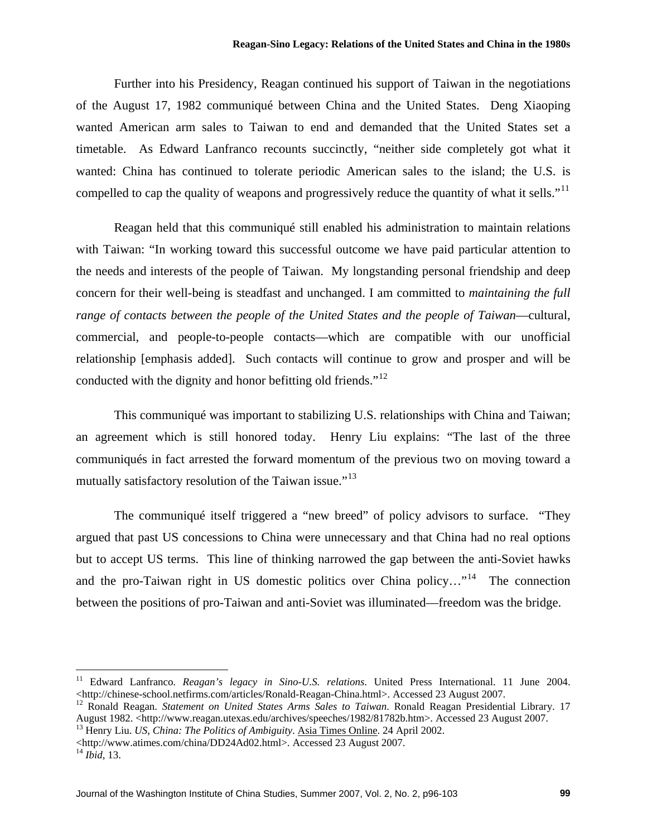Further into his Presidency, Reagan continued his support of Taiwan in the negotiations of the August 17, 1982 communiqué between China and the United States. Deng Xiaoping wanted American arm sales to Taiwan to end and demanded that the United States set a timetable. As Edward Lanfranco recounts succinctly, "neither side completely got what it wanted: China has continued to tolerate periodic American sales to the island; the U.S. is compelled to cap the quality of weapons and progressively reduce the quantity of what it sells."<sup>[11](#page-3-0)</sup>

Reagan held that this communiqué still enabled his administration to maintain relations with Taiwan: "In working toward this successful outcome we have paid particular attention to the needs and interests of the people of Taiwan. My longstanding personal friendship and deep concern for their well-being is steadfast and unchanged. I am committed to *maintaining the full range of contacts between the people of the United States and the people of Taiwan*––cultural, commercial, and people-to-people contacts––which are compatible with our unofficial relationship [emphasis added]. Such contacts will continue to grow and prosper and will be conducted with the dignity and honor befitting old friends."<sup>[12](#page-3-1)</sup>

This communiqué was important to stabilizing U.S. relationships with China and Taiwan; an agreement which is still honored today. Henry Liu explains: "The last of the three communiqués in fact arrested the forward momentum of the previous two on moving toward a mutually satisfactory resolution of the Taiwan issue."<sup>[13](#page-3-2)</sup>

The communiqué itself triggered a "new breed" of policy advisors to surface. "They argued that past US concessions to China were unnecessary and that China had no real options but to accept US terms. This line of thinking narrowed the gap between the anti-Soviet hawks and the pro-Taiwan right in US domestic politics over China policy..."<sup>[14](#page-3-3)</sup> The connection between the positions of pro-Taiwan and anti-Soviet was illuminated––freedom was the bridge.

<http://www.atimes.com/china/DD24Ad02.html>. Accessed 23 August 2007. 14 *Ibid*, 13.

 $\overline{a}$ 

Journal of the Washington Institute of China Studies, Summer 2007, Vol. 2, No. 2, p96-103 **99**

<span id="page-3-0"></span><sup>11</sup> Edward Lanfranco. *Reagan's legacy in Sino-U.S. relations*. United Press International. 11 June 2004.

<span id="page-3-1"></span><sup>&</sup>lt;http://chinese-school.netfirms.com/articles/Ronald-Reagan-China.html>. Accessed 23 August 2007.<br><sup>12</sup> Ronald Reagan. *Statement on United States Arms Sales to Taiwan*. Ronald Reagan Presidential Library. 17<br>August 1982. <

<span id="page-3-2"></span><sup>&</sup>lt;sup>13</sup> Henry Liu. *US, China: The Politics of Ambiguity*. Asia Times Online. 24 April 2002.

<span id="page-3-3"></span>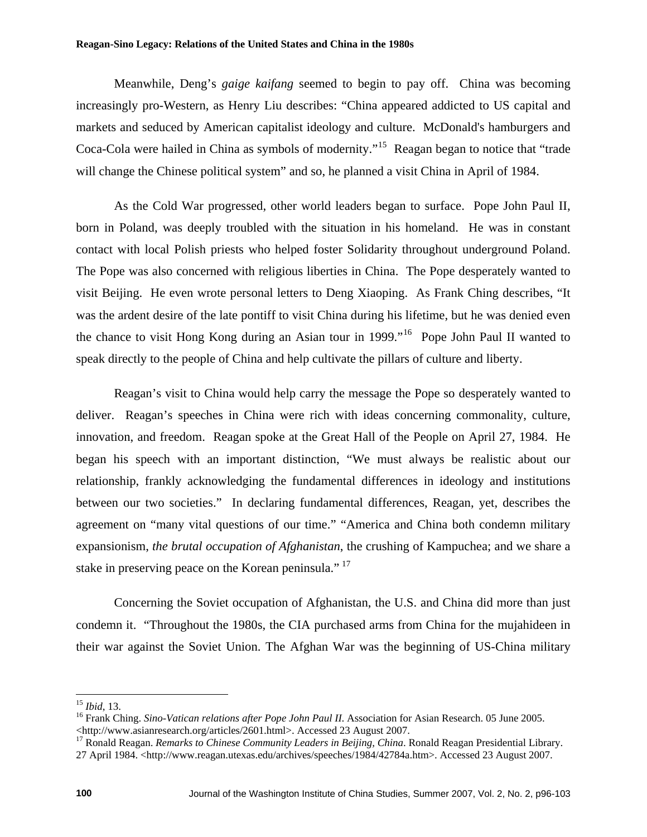Meanwhile, Deng's *gaige kaifang* seemed to begin to pay off. China was becoming increasingly pro-Western, as Henry Liu describes: "China appeared addicted to US capital and markets and seduced by American capitalist ideology and culture. McDonald's hamburgers and Coca-Cola were hailed in China as symbols of modernity."[15](#page-4-0) Reagan began to notice that "trade will change the Chinese political system" and so, he planned a visit China in April of 1984.

As the Cold War progressed, other world leaders began to surface. Pope John Paul II, born in Poland, was deeply troubled with the situation in his homeland. He was in constant contact with local Polish priests who helped foster Solidarity throughout underground Poland. The Pope was also concerned with religious liberties in China. The Pope desperately wanted to visit Beijing. He even wrote personal letters to Deng Xiaoping. As Frank Ching describes, "It was the ardent desire of the late pontiff to visit China during his lifetime, but he was denied even the chance to visit Hong Kong during an Asian tour in 1999."<sup>[16](#page-4-1)</sup> Pope John Paul II wanted to speak directly to the people of China and help cultivate the pillars of culture and liberty.

 Reagan's visit to China would help carry the message the Pope so desperately wanted to deliver. Reagan's speeches in China were rich with ideas concerning commonality, culture, innovation, and freedom. Reagan spoke at the Great Hall of the People on April 27, 1984. He began his speech with an important distinction, "We must always be realistic about our relationship, frankly acknowledging the fundamental differences in ideology and institutions between our two societies." In declaring fundamental differences, Reagan, yet, describes the agreement on "many vital questions of our time." "America and China both condemn military expansionism, *the brutal occupation of Afghanistan*, the crushing of Kampuchea; and we share a stake in preserving peace on the Korean peninsula."<sup>[17](#page-4-2)</sup>

 Concerning the Soviet occupation of Afghanistan, the U.S. and China did more than just condemn it. "Throughout the 1980s, the CIA purchased arms from China for the mujahideen in their war against the Soviet Union. The Afghan War was the beginning of US-China military

<span id="page-4-0"></span> $15$  *Ibid*, 13.

<sup>&</sup>lt;sup>16</sup> Frank Ching. *Sino-Vatican relations after Pope John Paul II*. Association for Asian Research. 05 June 2005.

<span id="page-4-2"></span><span id="page-4-1"></span><sup>&</sup>lt;http://www.asianresearch.org/articles/2601.html>. Accessed 23 August 2007. 17 Ronald Reagan. *Remarks to Chinese Community Leaders in Beijing, China*. Ronald Reagan Presidential Library. 27 April 1984. <http://www.reagan.utexas.edu/archives/speeches/1984/42784a.htm>. Accessed 23 August 2007.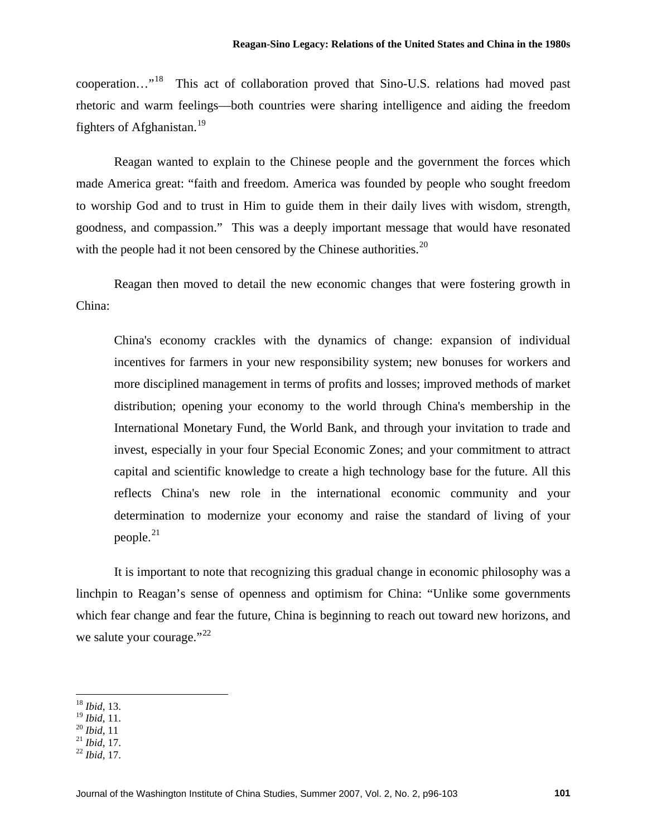cooperation…"[18](#page-5-0) This act of collaboration proved that Sino-U.S. relations had moved past rhetoric and warm feelings––both countries were sharing intelligence and aiding the freedom fighters of Afghanistan.<sup>[19](#page-5-1)</sup>

 Reagan wanted to explain to the Chinese people and the government the forces which made America great: "faith and freedom. America was founded by people who sought freedom to worship God and to trust in Him to guide them in their daily lives with wisdom, strength, goodness, and compassion." This was a deeply important message that would have resonated with the people had it not been censored by the Chinese authorities. $20$ 

 Reagan then moved to detail the new economic changes that were fostering growth in China:

China's economy crackles with the dynamics of change: expansion of individual incentives for farmers in your new responsibility system; new bonuses for workers and more disciplined management in terms of profits and losses; improved methods of market distribution; opening your economy to the world through China's membership in the International Monetary Fund, the World Bank, and through your invitation to trade and invest, especially in your four Special Economic Zones; and your commitment to attract capital and scientific knowledge to create a high technology base for the future. All this reflects China's new role in the international economic community and your determination to modernize your economy and raise the standard of living of your people. $^{21}$  $^{21}$  $^{21}$ 

It is important to note that recognizing this gradual change in economic philosophy was a linchpin to Reagan's sense of openness and optimism for China: "Unlike some governments which fear change and fear the future, China is beginning to reach out toward new horizons, and we salute your courage." $^{22}$  $^{22}$  $^{22}$ 

1

<sup>18</sup> *Ibid*, 13.

<span id="page-5-2"></span><span id="page-5-1"></span><span id="page-5-0"></span><sup>19</sup> *Ibid*, 11. 20 *Ibid*, 11 21 *Ibid*, 17. 22 *Ibid*, 17.

<span id="page-5-3"></span>

<span id="page-5-4"></span>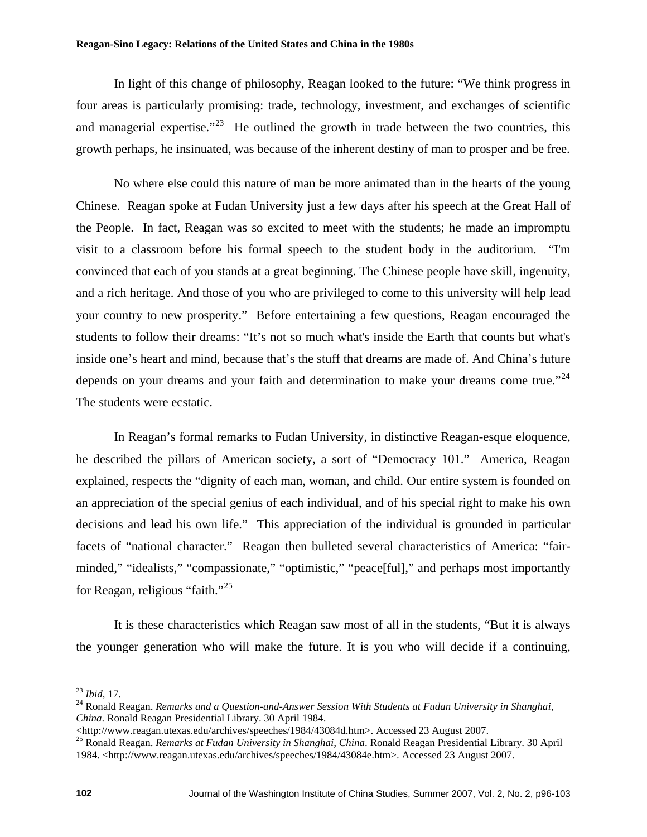In light of this change of philosophy, Reagan looked to the future: "We think progress in four areas is particularly promising: trade, technology, investment, and exchanges of scientific and managerial expertise."<sup>[23](#page-6-0)</sup> He outlined the growth in trade between the two countries, this growth perhaps, he insinuated, was because of the inherent destiny of man to prosper and be free.

No where else could this nature of man be more animated than in the hearts of the young Chinese. Reagan spoke at Fudan University just a few days after his speech at the Great Hall of the People. In fact, Reagan was so excited to meet with the students; he made an impromptu visit to a classroom before his formal speech to the student body in the auditorium. "I'm convinced that each of you stands at a great beginning. The Chinese people have skill, ingenuity, and a rich heritage. And those of you who are privileged to come to this university will help lead your country to new prosperity." Before entertaining a few questions, Reagan encouraged the students to follow their dreams: "It's not so much what's inside the Earth that counts but what's inside one's heart and mind, because that's the stuff that dreams are made of. And China's future depends on your dreams and your faith and determination to make your dreams come true."<sup>24</sup> The students were ecstatic.

In Reagan's formal remarks to Fudan University, in distinctive Reagan-esque eloquence, he described the pillars of American society, a sort of "Democracy 101." America, Reagan explained, respects the "dignity of each man, woman, and child. Our entire system is founded on an appreciation of the special genius of each individual, and of his special right to make his own decisions and lead his own life." This appreciation of the individual is grounded in particular facets of "national character." Reagan then bulleted several characteristics of America: "fairminded," "idealists," "compassionate," "optimistic," "peace[ful]," and perhaps most importantly for Reagan, religious "faith."[25](#page-6-2)

It is these characteristics which Reagan saw most of all in the students, "But it is always the younger generation who will make the future. It is you who will decide if a continuing,

<span id="page-6-0"></span> $^{23}$  Ibid, 17.

<span id="page-6-1"></span><sup>&</sup>lt;sup>24</sup> Ronald Reagan. *Remarks and a Question-and-Answer Session With Students at Fudan University in Shanghai, China*. Ronald Reagan Presidential Library. 30 April 1984.

<span id="page-6-2"></span><sup>&</sup>lt;http://www.reagan.utexas.edu/archives/speeches/1984/43084d.htm>. Accessed 23 August 2007. 25 Ronald Reagan. *Remarks at Fudan University in Shanghai, China*. Ronald Reagan Presidential Library. 30 April 1984. <http://www.reagan.utexas.edu/archives/speeches/1984/43084e.htm>. Accessed 23 August 2007.